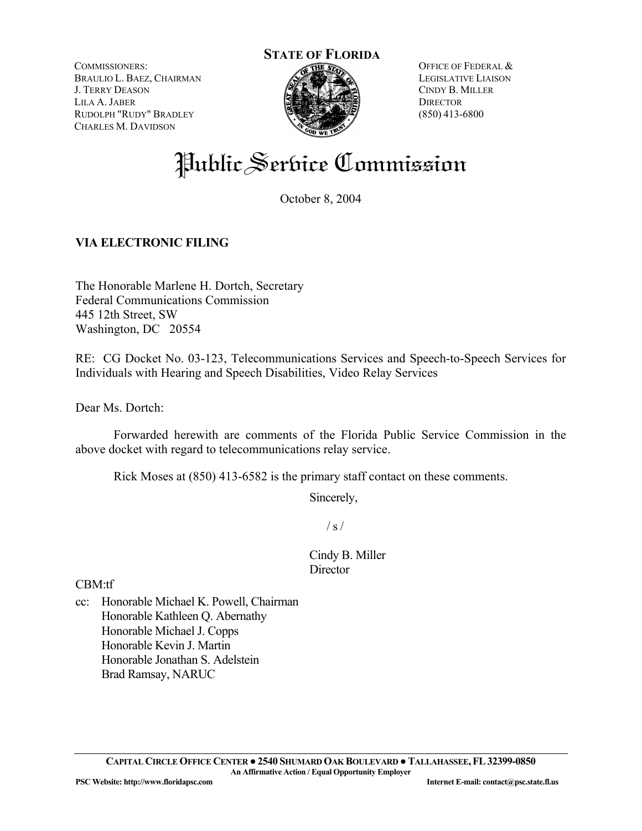COMMISSIONERS: BRAULIO L. BAEZ, CHAIRMAN J. TERRY DEASON LILA A. JABER RUDOLPH "RUDY" BRADLEY CHARLES M. DAVIDSON



OFFICE OF FEDERAL & LEGISLATIVE LIAISON CINDY B. MILLER **DIRECTOR** (850) 413-6800

# Public Serbice Commission

October 8, 2004

# **VIA ELECTRONIC FILING**

The Honorable Marlene H. Dortch, Secretary Federal Communications Commission 445 12th Street, SW Washington, DC 20554

RE: CG Docket No. 03-123, Telecommunications Services and Speech-to-Speech Services for Individuals with Hearing and Speech Disabilities, Video Relay Services

Dear Ms. Dortch:

 Forwarded herewith are comments of the Florida Public Service Commission in the above docket with regard to telecommunications relay service.

Rick Moses at (850) 413-6582 is the primary staff contact on these comments.

Sincerely,

 $/ s /$ 

Cindy B. Miller **Director** 

CBM:tf

cc: Honorable Michael K. Powell, Chairman Honorable Kathleen Q. Abernathy Honorable Michael J. Copps Honorable Kevin J. Martin Honorable Jonathan S. Adelstein Brad Ramsay, NARUC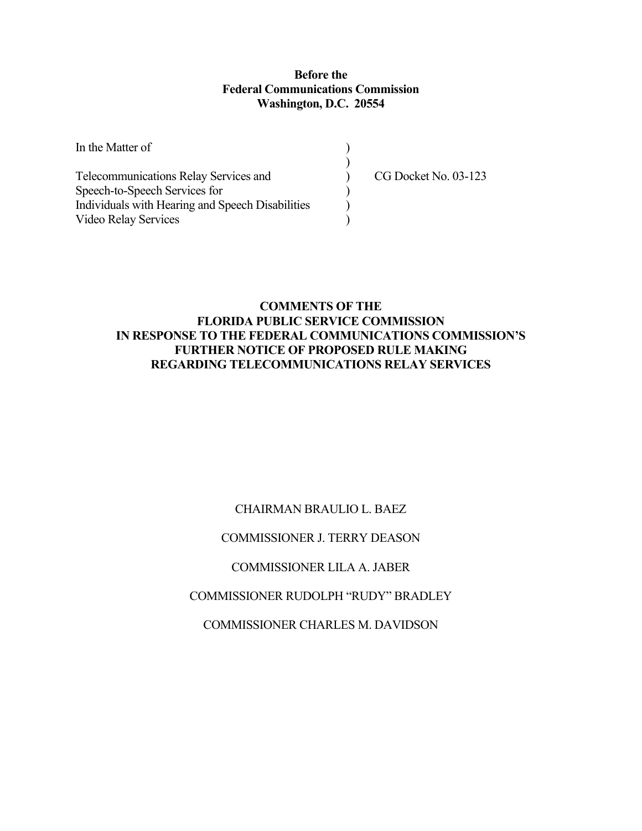## **Before the Federal Communications Commission Washington, D.C. 20554**

| In the Matter of                                 |                      |
|--------------------------------------------------|----------------------|
|                                                  |                      |
| Telecommunications Relay Services and            | CG Docket No. 03-123 |
| Speech-to-Speech Services for                    |                      |
| Individuals with Hearing and Speech Disabilities |                      |
| Video Relay Services                             |                      |

# **COMMENTS OF THE FLORIDA PUBLIC SERVICE COMMISSION IN RESPONSE TO THE FEDERAL COMMUNICATIONS COMMISSION'S FURTHER NOTICE OF PROPOSED RULE MAKING REGARDING TELECOMMUNICATIONS RELAY SERVICES**

# CHAIRMAN BRAULIO L. BAEZ

## COMMISSIONER J. TERRY DEASON

# COMMISSIONER LILA A. JABER

# COMMISSIONER RUDOLPH "RUDY" BRADLEY

## COMMISSIONER CHARLES M. DAVIDSON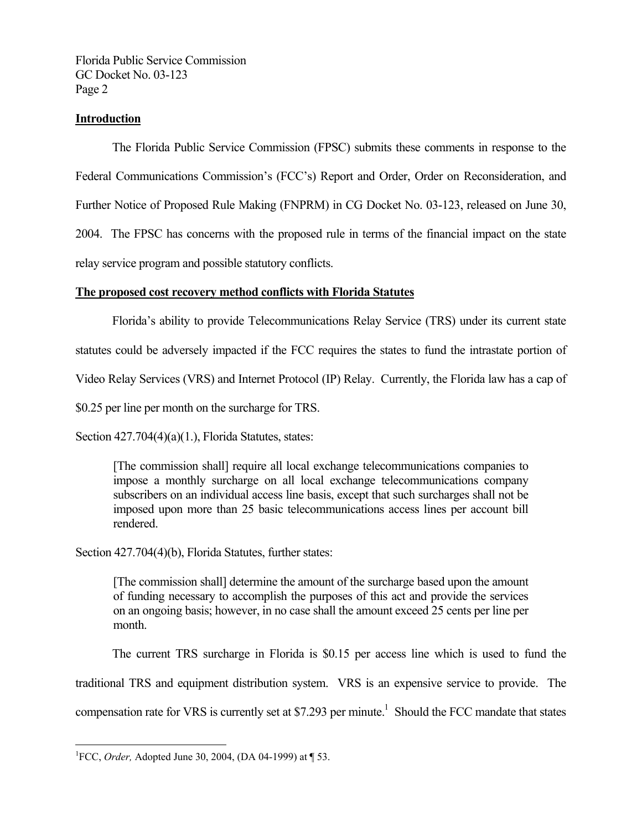## **Introduction**

 The Florida Public Service Commission (FPSC) submits these comments in response to the Federal Communications Commission's (FCC's) Report and Order, Order on Reconsideration, and Further Notice of Proposed Rule Making (FNPRM) in CG Docket No. 03-123, released on June 30, 2004. The FPSC has concerns with the proposed rule in terms of the financial impact on the state relay service program and possible statutory conflicts.

## **The proposed cost recovery method conflicts with Florida Statutes**

Florida's ability to provide Telecommunications Relay Service (TRS) under its current state

statutes could be adversely impacted if the FCC requires the states to fund the intrastate portion of

Video Relay Services (VRS) and Internet Protocol (IP) Relay. Currently, the Florida law has a cap of

\$0.25 per line per month on the surcharge for TRS.

Section 427.704(4)(a)(1.), Florida Statutes, states:

[The commission shall] require all local exchange telecommunications companies to impose a monthly surcharge on all local exchange telecommunications company subscribers on an individual access line basis, except that such surcharges shall not be imposed upon more than 25 basic telecommunications access lines per account bill rendered.

Section 427.704(4)(b), Florida Statutes, further states:

[The commission shall] determine the amount of the surcharge based upon the amount of funding necessary to accomplish the purposes of this act and provide the services on an ongoing basis; however, in no case shall the amount exceed 25 cents per line per month.

The current TRS surcharge in Florida is \$0.15 per access line which is used to fund the

traditional TRS and equipment distribution system. VRS is an expensive service to provide. The

compensation rate for VRS is currently set at \$7.293 per minute.<sup>1</sup> Should the FCC mandate that states

1

<sup>1</sup> FCC, *Order,* Adopted June 30, 2004, (DA 04-1999) at ¶ 53.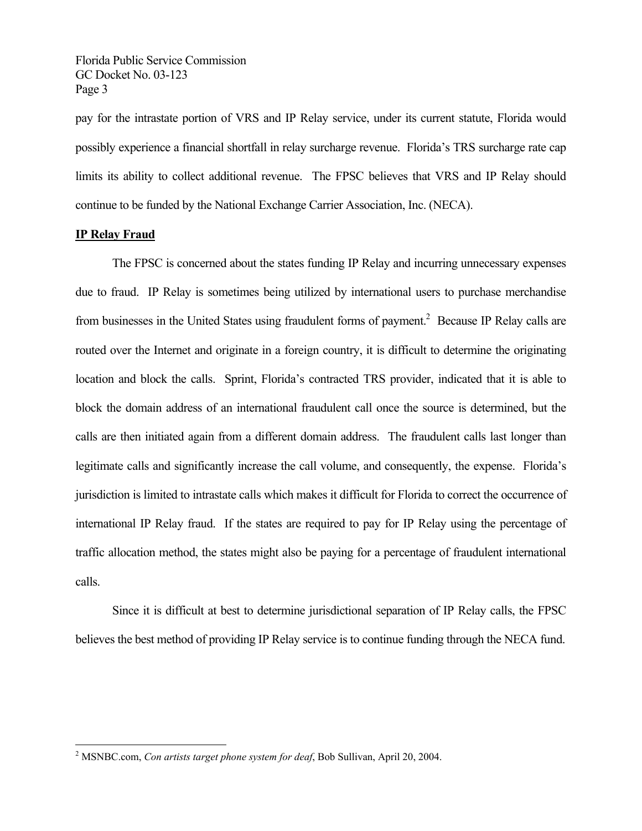pay for the intrastate portion of VRS and IP Relay service, under its current statute, Florida would possibly experience a financial shortfall in relay surcharge revenue. Florida's TRS surcharge rate cap limits its ability to collect additional revenue. The FPSC believes that VRS and IP Relay should continue to be funded by the National Exchange Carrier Association, Inc. (NECA).

#### **IP Relay Fraud**

 The FPSC is concerned about the states funding IP Relay and incurring unnecessary expenses due to fraud. IP Relay is sometimes being utilized by international users to purchase merchandise from businesses in the United States using fraudulent forms of payment.<sup>2</sup> Because IP Relay calls are routed over the Internet and originate in a foreign country, it is difficult to determine the originating location and block the calls. Sprint, Florida's contracted TRS provider, indicated that it is able to block the domain address of an international fraudulent call once the source is determined, but the calls are then initiated again from a different domain address. The fraudulent calls last longer than legitimate calls and significantly increase the call volume, and consequently, the expense. Florida's jurisdiction is limited to intrastate calls which makes it difficult for Florida to correct the occurrence of international IP Relay fraud. If the states are required to pay for IP Relay using the percentage of traffic allocation method, the states might also be paying for a percentage of fraudulent international calls.

 Since it is difficult at best to determine jurisdictional separation of IP Relay calls, the FPSC believes the best method of providing IP Relay service is to continue funding through the NECA fund.

 2 MSNBC.com, *Con artists target phone system for deaf*, Bob Sullivan, April 20, 2004.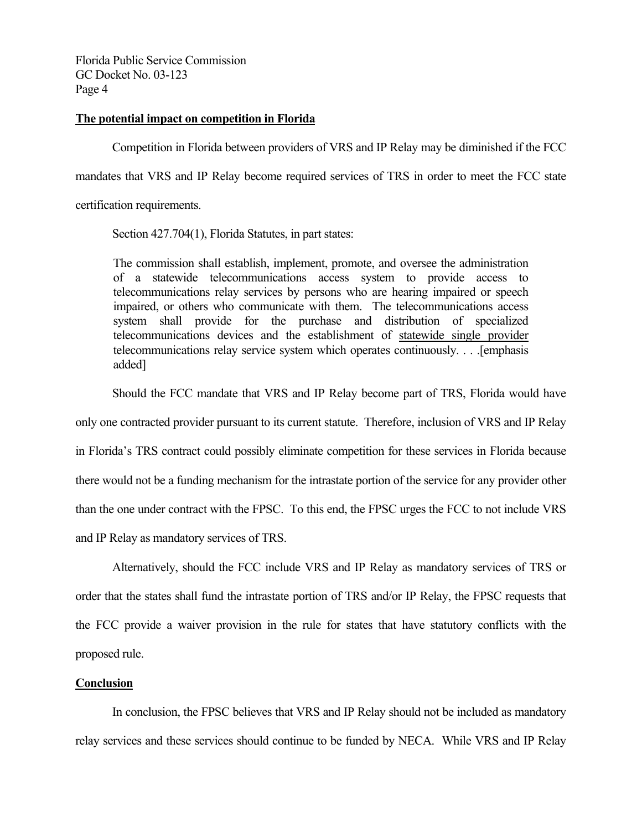#### **The potential impact on competition in Florida**

 Competition in Florida between providers of VRS and IP Relay may be diminished if the FCC mandates that VRS and IP Relay become required services of TRS in order to meet the FCC state

certification requirements.

Section 427.704(1), Florida Statutes, in part states:

The commission shall establish, implement, promote, and oversee the administration of a statewide telecommunications access system to provide access to telecommunications relay services by persons who are hearing impaired or speech impaired, or others who communicate with them. The telecommunications access system shall provide for the purchase and distribution of specialized telecommunications devices and the establishment of statewide single provider telecommunications relay service system which operates continuously. . . .[emphasis added]

Should the FCC mandate that VRS and IP Relay become part of TRS, Florida would have

only one contracted provider pursuant to its current statute. Therefore, inclusion of VRS and IP Relay

in Florida's TRS contract could possibly eliminate competition for these services in Florida because there would not be a funding mechanism for the intrastate portion of the service for any provider other than the one under contract with the FPSC. To this end, the FPSC urges the FCC to not include VRS and IP Relay as mandatory services of TRS.

 Alternatively, should the FCC include VRS and IP Relay as mandatory services of TRS or order that the states shall fund the intrastate portion of TRS and/or IP Relay, the FPSC requests that the FCC provide a waiver provision in the rule for states that have statutory conflicts with the proposed rule.

#### **Conclusion**

 In conclusion, the FPSC believes that VRS and IP Relay should not be included as mandatory relay services and these services should continue to be funded by NECA. While VRS and IP Relay